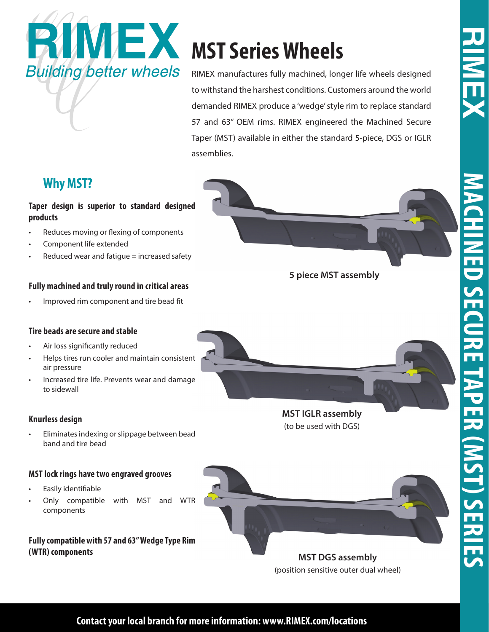



RIMEX manufactures fully machined, longer life wheels designed to withstand the harshest conditions. Customers around the world demanded RIMEX produce a 'wedge' style rim to replace standard 57 and 63" OEM rims. RIMEX engineered the Machined Secure Taper (MST) available in either the standard 5-piece, DGS or IGLR assemblies.

## **Why MST?**

### **Taper design is superior to standard designed products**

- Reduces moving or flexing of components
- Component life extended
- Reduced wear and fatigue = increased safety

#### **Fully machined and truly round in critical areas**

• Improved rim component and tire bead fit

#### **Tire beads are secure and stable**

- Air loss significantly reduced
- Helps tires run cooler and maintain consistent air pressure
- Increased tire life. Prevents wear and damage to sidewall

#### **Knurless design**

• Eliminates indexing or slippage between bead band and tire bead

#### **MST lock rings have two engraved grooves**

- Easily identifiable
- Only compatible with MST and WTR components

**Fully compatible with 57 and 63" Wedge Type Rim (WTR) components**

**MST IGLR assembly** (to be used with DGS)

**5 piece MST assembly**



(position sensitive outer dual wheel)

**Contact your local branch for more information: www.RIMEX.com/locations**